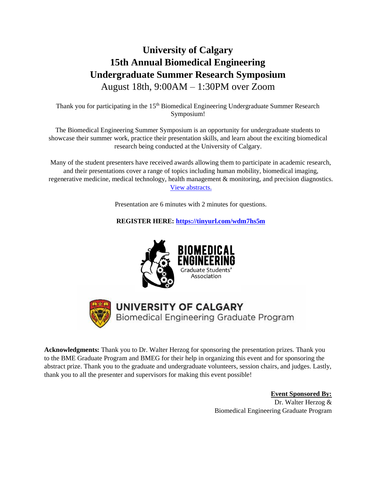# **University of Calgary 15th Annual Biomedical Engineering Undergraduate Summer Research Symposium**  August 18th, 9:00AM – 1:30PM over Zoom

Thank you for participating in the 15<sup>th</sup> Biomedical Engineering Undergraduate Summer Research Symposium!

The Biomedical Engineering Summer Symposium is an opportunity for undergraduate students to showcase their summer work, practice their presentation skills, and learn about the exciting biomedical research being conducted at the University of Calgary.

Many of the student presenters have received awards allowing them to participate in academic research, and their presentations cover a range of topics including human mobility, biomedical imaging, regenerative medicine, medical technology, health management & monitoring, and precision diagnostics. [View abstracts.](https://docs.google.com/spreadsheets/d/1m9T0Gw7m9ylQSpZmaZGj1Tb2IKRQ8Db2iA0nG8DGfTk/edit?usp=sharing)

Presentation are 6 minutes with 2 minutes for questions.

**REGISTER HERE:<https://tinyurl.com/wdm7hs5m>**





## **UNIVERSITY OF CALGARY** Biomedical Engineering Graduate Program

**Acknowledgments:** Thank you to Dr. Walter Herzog for sponsoring the presentation prizes. Thank you to the BME Graduate Program and BMEG for their help in organizing this event and for sponsoring the abstract prize. Thank you to the graduate and undergraduate volunteers, session chairs, and judges. Lastly, thank you to all the presenter and supervisors for making this event possible!

> **Event Sponsored By:** Dr. Walter Herzog & Biomedical Engineering Graduate Program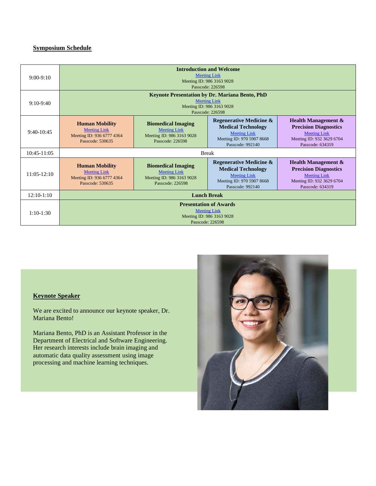## **Symposium Schedule**

| $9:00-9:10$   | <b>Introduction and Welcome</b><br><b>Meeting Link</b><br>Meeting ID: 986 3163 9028<br>Passcode: 226598                       |                                                                                                   |                                                                                                                                         |                                                                                                                                        |
|---------------|-------------------------------------------------------------------------------------------------------------------------------|---------------------------------------------------------------------------------------------------|-----------------------------------------------------------------------------------------------------------------------------------------|----------------------------------------------------------------------------------------------------------------------------------------|
| $9:10-9:40$   | <b>Keynote Presentation by Dr. Mariana Bento, PhD</b><br><b>Meeting Link</b><br>Meeting ID: 986 3163 9028<br>Passcode: 226598 |                                                                                                   |                                                                                                                                         |                                                                                                                                        |
| $9:40-10:45$  | <b>Human Mobility</b><br><b>Meeting Link</b><br>Meeting ID: 936 6777 4364<br>Passcode: 530635                                 | <b>Biomedical Imaging</b><br><b>Meeting Link</b><br>Meeting ID: 986 3163 9028<br>Passcode: 226598 | <b>Regenerative Medicine &amp;</b><br><b>Medical Technology</b><br><b>Meeting Link</b><br>Meeting ID: 970 5907 8668<br>Passcode: 992140 | <b>Health Management &amp;</b><br><b>Precision Diagnostics</b><br><b>Meeting Link</b><br>Meeting ID: 932 3629 6704<br>Passcode: 634319 |
| 10:45-11:05   | <b>Break</b>                                                                                                                  |                                                                                                   |                                                                                                                                         |                                                                                                                                        |
| $11:05-12:10$ | <b>Human Mobility</b><br><b>Meeting Link</b><br>Meeting ID: 936 6777 4364<br>Passcode: 530635                                 | <b>Biomedical Imaging</b><br><b>Meeting Link</b><br>Meeting ID: 986 3163 9028<br>Passcode: 226598 | <b>Regenerative Medicine &amp;</b><br><b>Medical Technology</b><br><b>Meeting Link</b><br>Meeting ID: 970 5907 8668<br>Passcode: 992140 | <b>Health Management &amp;</b><br><b>Precision Diagnostics</b><br><b>Meeting Link</b><br>Meeting ID: 932 3629 6704<br>Passcode: 634319 |
| $12:10-1:10$  | <b>Lunch Break</b>                                                                                                            |                                                                                                   |                                                                                                                                         |                                                                                                                                        |
| $1:10-1:30$   | <b>Presentation of Awards</b><br><b>Meeting Link</b><br>Meeting ID: 986 3163 9028<br>Passcode: 226598                         |                                                                                                   |                                                                                                                                         |                                                                                                                                        |

## **Keynote Speaker**

We are excited to announce our keynote speaker, Dr. Mariana Bento!

Mariana Bento, PhD is an Assistant Professor in the Department of Electrical and Software Engineering. Her research interests include brain imaging and automatic data quality assessment using image processing and machine learning techniques.

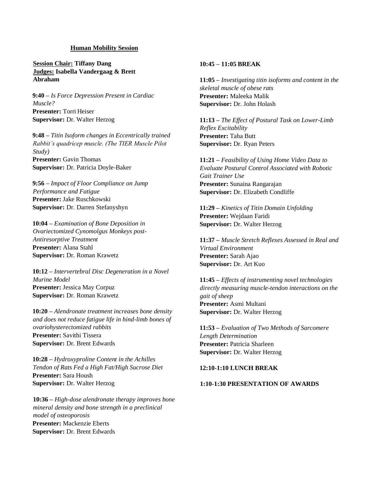#### **Human Mobility Session**

**Session Chair: Tiffany Dang Judges: Isabella Vandergaag & Brett Abraham**

**9:40 –** *Is Force Depression Present in Cardiac Muscle?*  **Presenter:** Torri Heiser **Supervisor:** Dr. Walter Herzog

**9:48 –** *Titin Isoform changes in Eccentrically trained Rabbit's quadricep muscle. (The TIER Muscle Pilot Study)* **Presenter:** Gavin Thomas **Supervisor:** Dr. Patricia Doyle-Baker

**9:56 –** *Impact of Floor Compliance on Jump Performance and Fatigue* **Presenter:** Jake Ruschkowski **Supervisor:** Dr. Darren Stefanyshyn

**10:04 –** *Examination of Bone Deposition in Ovariectomized Cynomolgus Monkeys post-Antiresorptive Treatment*  **Presenter:** Alana Stahl **Supervisor:** Dr. Roman Krawetz

**10:12 –** *Intervertebral Disc Degeneration in a Novel Murine Model* **Presenter:** Jessica May Corpuz **Supervisor:** Dr. Roman Krawetz

**10:20 –** *Alendronate treatment increases bone density and does not reduce fatigue life in hind-limb bones of ovariohysterectomized rabbits* **Presenter:** Savithi Tissera **Supervisor:** Dr. Brent Edwards

**10:28 –** *Hydroxyproline Content in the Achilles Tendon of Rats Fed a High Fat/High Sucrose Diet* **Presenter:** Sara Housh **Supervisor:** Dr. Walter Herzog

**10:36 –** *High-dose alendronate therapy improves bone mineral density and bone strength in a preclinical model of osteoporosis* **Presenter:** Mackenzie Eberts **Supervisor:** Dr. Brent Edwards

## **10:45 – 11:05 BREAK**

**11:05 –** *Investigating titin isoforms and content in the skeletal muscle of obese rats* **Presenter:** Maleeka Malik **Supervisor:** Dr. John Holash

**11:13 –** *The Effect of Postural Task on Lower-Limb Reflex Excitability* **Presenter:** Taha Butt **Supervisor:** Dr. Ryan Peters

**11:21 –** *Feasibility of Using Home Video Data to Evaluate Postural Control Associated with Robotic Gait Trainer Use* **Presenter:** Sunaina Rangarajan **Supervisor:** Dr. Elizabeth Condliffe

**11:29 –** *Kinetics of Titin Domain Unfolding* **Presenter:** Wejdaan Faridi **Supervisor:** Dr. Walter Herzog

**11:37 –** *Muscle Stretch Reflexes Assessed in Real and Virtual Environment* **Presenter:** Sarah Ajao **Supervisor:** Dr. Art Kuo

**11:45 –** *Effects of instrumenting novel technologies directly measuring muscle-tendon interactions on the gait of sheep* **Presenter:** Asmi Multani **Supervisor:** Dr. Walter Herzog

**11:53 –** *Evaluation of Two Methods of Sarcomere Length Determination* **Presenter:** Patricia Sharleen **Supervisor:** Dr. Walter Herzog

## **12:10-1:10 LUNCH BREAK**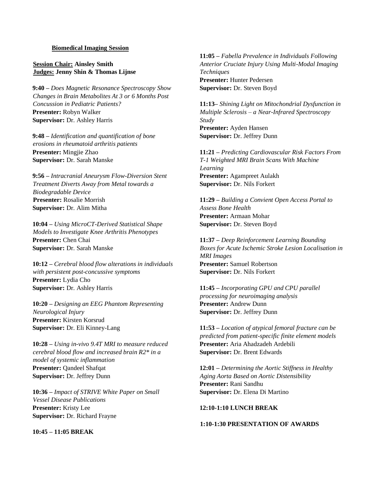#### **Biomedical Imaging Session**

**Session Chair: Ainsley Smith Judges: Jenny Shin & Thomas Lijnse**

**9:40 –** *Does Magnetic Resonance Spectroscopy Show Changes in Brain Metabolites At 3 or 6 Months Post Concussion in Pediatric Patients?* **Presenter:** Robyn Walker **Supervisor:** Dr. Ashley Harris

**9:48 –** *Identification and quantification of bone erosions in rheumatoid arthritis patients* **Presenter:** Mingjie Zhao **Supervisor:** Dr. Sarah Manske

**9:56 –** *Intracranial Aneurysm Flow-Diversion Stent Treatment Diverts Away from Metal towards a Biodegradable Device* **Presenter:** Rosalie Morrish **Supervisor:** Dr. Alim Mitha

**10:04 –** *Using MicroCT-Derived Statistical Shape Models to Investigate Knee Arthritis Phenotypes* **Presenter:** Chen Chai **Supervisor:** Dr. Sarah Manske

**10:12 –** *Cerebral blood flow alterations in individuals with persistent post-concussive symptoms* **Presenter:** Lydia Cho **Supervisor:** Dr. Ashley Harris

**10:20 –** *Designing an EEG Phantom Representing Neurological Injury* **Presenter:** Kirsten Korsrud **Supervisor:** Dr. Eli Kinney-Lang

**10:28 –** *Using in-vivo 9.4T MRI to measure reduced cerebral blood flow and increased brain R2\* in a model of systemic inflammation* **Presenter:** Qandeel Shafqat **Supervisor:** Dr. Jeffrey Dunn

**10:36 –** *Impact of STRIVE White Paper on Small Vessel Disease Publications* **Presenter:** Kristy Lee **Supervisor:** Dr. Richard Frayne

**10:45 – 11:05 BREAK**

**11:05 –** *Fabella Prevalence in Individuals Following Anterior Cruciate Injury Using Multi-Modal Imaging Techniques* **Presenter:** Hunter Pedersen **Supervisor:** Dr. Steven Boyd

**11:13–** *Shining Light on Mitochondrial Dysfunction in Multiple Sclerosis – a Near-Infrared Spectroscopy Study* **Presenter:** Ayden Hansen **Supervisor:** Dr. Jeffrey Dunn

**11:21 –** *Predicting Cardiovascular Risk Factors From T-1 Weighted MRI Brain Scans With Machine Learning* **Presenter:** Agampreet Aulakh **Supervisor:** Dr. Nils Forkert

**11:29 –** *Building a Convient Open Access Portal to Assess Bone Health* **Presenter:** Armaan Mohar **Supervisor:** Dr. Steven Boyd

**11:37 –** *Deep Reinforcement Learning Bounding Boxes for Acute Ischemic Stroke Lesion Localisation in MRI Images* **Presenter:** Samuel Robertson **Supervisor:** Dr. Nils Forkert

**11:45 –** *Incorporating GPU and CPU parallel processing for neuroimaging analysis* **Presenter:** Andrew Dunn **Supervisor:** Dr. Jeffrey Dunn

**11:53 –** *Location of atypical femoral fracture can be predicted from patient-specific finite element models* **Presenter:** Aria Ahadzadeh Ardebili **Supervisor:** Dr. Brent Edwards

**12:01 –** *Determining the Aortic Stiffness in Healthy Aging Aorta Based on Aortic Distensibility* **Presenter:** Rani Sandhu **Supervisor:** Dr. Elena Di Martino

#### **12:10-1:10 LUNCH BREAK**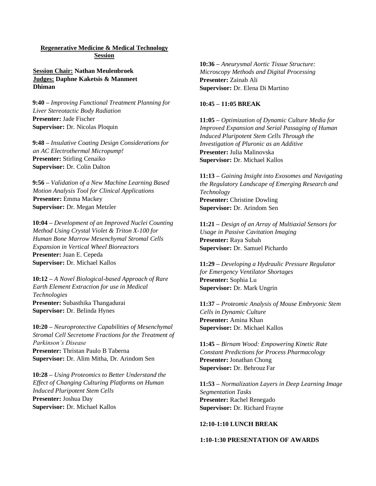### **Regenerative Medicine & Medical Technology Session**

**Session Chair: Nathan Meulenbroek Judges: Daphne Kaketsis & Manmeet Dhiman**

**9:40 –** *Improving Functional Treatment Planning for Liver Stereotactic Body Radiation* **Presenter:** Jade Fischer **Supervisor:** Dr. Nicolas Ploquin

**9:48 –** *Insulative Coating Design Considerations for an AC Electrothermal Micropump!* **Presenter:** Stirling Cenaiko **Supervisor:** Dr. Colin Dalton

**9:56 –** *Validation of a New Machine Learning Based Motion Analysis Tool for Clinical Applications* **Presenter:** Emma Mackey **Supervisor:** Dr. Megan Metzler

**10:04 –** *Development of an Improved Nuclei Counting Method Using Crystal Violet & Triton X-100 for Human Bone Marrow Mesenchymal Stromal Cells Expansion in Vertical Wheel Bioreactors* **Presenter:** Juan E. Cepeda **Supervisor:** Dr. Michael Kallos

**10:12 –** *A Novel Biological-based Approach of Rare Earth Element Extraction for use in Medical Technologies* **Presenter:** Subasthika Thangadurai **Supervisor:** Dr. Belinda Hynes

**10:20 –** *Neuroprotective Capabilities of Mesenchymal Stromal Cell Secretome Fractions for the Treatment of Parkinson's Disease* **Presenter:** Thristan Paulo B Taberna **Supervisor:** Dr. Alim Mitha, Dr. Arindom Sen

**10:28 –** *Using Proteomics to Better Understand the Effect of Changing Culturing Platforms on Human Induced Pluripotent Stem Cells* **Presenter:** Joshua Day **Supervisor:** Dr. Michael Kallos

**10:36 –** *Aneurysmal Aortic Tissue Structure: Microscopy Methods and Digital Processing* **Presenter:** Zainab Ali **Supervisor:** Dr. Elena Di Martino

#### **10:45 – 11:05 BREAK**

**11:05 –** *Optimization of Dynamic Culture Media for Improved Expansion and Serial Passaging of Human Induced Pluripotent Stem Cells Through the Investigation of Pluronic as an Additive* **Presenter:** Julia Malinovska **Supervisor:** Dr. Michael Kallos

**11:13 –** *Gaining Insight into Exosomes and Navigating the Regulatory Landscape of Emerging Research and Technology* **Presenter:** Christine Dowling **Supervisor:** Dr. Arindom Sen

**11:21 –** *Design of an Array of Multiaxial Sensors for Usage in Passive Cavitation Imaging* **Presenter:** Raya Subah **Supervisor:** Dr. Samuel Pichardo

**11:29 –** *Developing a Hydraulic Pressure Regulator for Emergency Ventilator Shortages* **Presenter:** Sophia Lu **Supervisor:** Dr. Mark Ungrin

**11:37 –** *Proteomic Analysis of Mouse Embryonic Stem Cells in Dynamic Culture* **Presenter:** Amina Khan **Supervisor:** Dr. Michael Kallos

**11:45 –** *Birnam Wood: Empowering Kinetic Rate Constant Predictions for Process Pharmacology* **Presenter:** Jonathan Chong **Supervisor:** Dr. Behrouz Far

**11:53 –** *Normalization Layers in Deep Learning Image Segmentation Tasks* **Presenter:** Rachel Renegado **Supervisor:** Dr. Richard Frayne

#### **12:10-1:10 LUNCH BREAK**